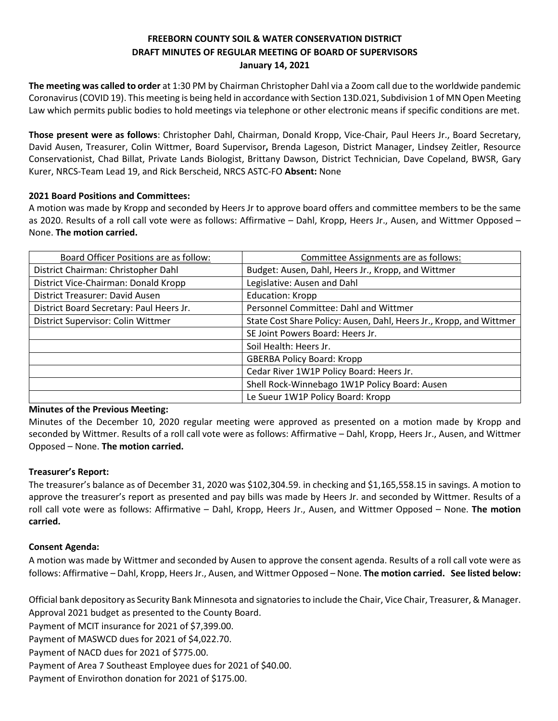# **FREEBORN COUNTY SOIL & WATER CONSERVATION DISTRICT DRAFT MINUTES OF REGULAR MEETING OF BOARD OF SUPERVISORS January 14, 2021**

**The meeting was called to order** at 1:30 PM by Chairman Christopher Dahl via a Zoom call due to the worldwide pandemic Coronavirus (COVID 19). This meeting is being held in accordance with Section 13D.021, Subdivision 1 of MN Open Meeting Law which permits public bodies to hold meetings via telephone or other electronic means if specific conditions are met.

**Those present were as follows**: Christopher Dahl, Chairman, Donald Kropp, Vice-Chair, Paul Heers Jr., Board Secretary, David Ausen, Treasurer, Colin Wittmer, Board Supervisor**,** Brenda Lageson, District Manager, Lindsey Zeitler, Resource Conservationist, Chad Billat, Private Lands Biologist, Brittany Dawson, District Technician, Dave Copeland, BWSR, Gary Kurer, NRCS-Team Lead 19, and Rick Berscheid, NRCS ASTC-FO **Absent:** None

#### **2021 Board Positions and Committees:**

A motion was made by Kropp and seconded by Heers Jr to approve board offers and committee members to be the same as 2020. Results of a roll call vote were as follows: Affirmative – Dahl, Kropp, Heers Jr., Ausen, and Wittmer Opposed – None. **The motion carried.**

| Board Officer Positions are as follow:   | Committee Assignments are as follows:                               |
|------------------------------------------|---------------------------------------------------------------------|
| District Chairman: Christopher Dahl      | Budget: Ausen, Dahl, Heers Jr., Kropp, and Wittmer                  |
| District Vice-Chairman: Donald Kropp     | Legislative: Ausen and Dahl                                         |
| District Treasurer: David Ausen          | <b>Education: Kropp</b>                                             |
| District Board Secretary: Paul Heers Jr. | Personnel Committee: Dahl and Wittmer                               |
| District Supervisor: Colin Wittmer       | State Cost Share Policy: Ausen, Dahl, Heers Jr., Kropp, and Wittmer |
|                                          | SE Joint Powers Board: Heers Jr.                                    |
|                                          | Soil Health: Heers Jr.                                              |
|                                          | <b>GBERBA Policy Board: Kropp</b>                                   |
|                                          | Cedar River 1W1P Policy Board: Heers Jr.                            |
|                                          | Shell Rock-Winnebago 1W1P Policy Board: Ausen                       |
|                                          | Le Sueur 1W1P Policy Board: Kropp                                   |

#### **Minutes of the Previous Meeting:**

Minutes of the December 10, 2020 regular meeting were approved as presented on a motion made by Kropp and seconded by Wittmer. Results of a roll call vote were as follows: Affirmative – Dahl, Kropp, Heers Jr., Ausen, and Wittmer Opposed – None. **The motion carried.**

#### **Treasurer's Report:**

The treasurer's balance as of December 31, 2020 was \$102,304.59. in checking and \$1,165,558.15 in savings. A motion to approve the treasurer's report as presented and pay bills was made by Heers Jr. and seconded by Wittmer. Results of a roll call vote were as follows: Affirmative – Dahl, Kropp, Heers Jr., Ausen, and Wittmer Opposed – None. **The motion carried.**

#### **Consent Agenda:**

A motion was made by Wittmer and seconded by Ausen to approve the consent agenda. Results of a roll call vote were as follows: Affirmative – Dahl, Kropp, Heers Jr., Ausen, and Wittmer Opposed – None. **The motion carried. See listed below:**

Official bank depository as Security Bank Minnesota and signatories to include the Chair, Vice Chair, Treasurer, & Manager. Approval 2021 budget as presented to the County Board.

Payment of MCIT insurance for 2021 of \$7,399.00.

Payment of MASWCD dues for 2021 of \$4,022.70.

Payment of NACD dues for 2021 of \$775.00.

Payment of Area 7 Southeast Employee dues for 2021 of \$40.00.

Payment of Envirothon donation for 2021 of \$175.00.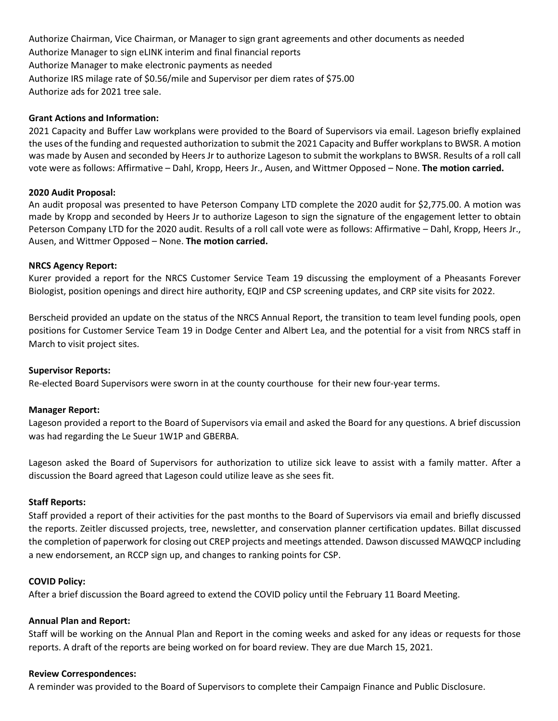Authorize Chairman, Vice Chairman, or Manager to sign grant agreements and other documents as needed Authorize Manager to sign eLINK interim and final financial reports Authorize Manager to make electronic payments as needed Authorize IRS milage rate of \$0.56/mile and Supervisor per diem rates of \$75.00 Authorize ads for 2021 tree sale.

#### **Grant Actions and Information:**

2021 Capacity and Buffer Law workplans were provided to the Board of Supervisors via email. Lageson briefly explained the uses of the funding and requested authorization to submit the 2021 Capacity and Buffer workplans to BWSR. A motion was made by Ausen and seconded by Heers Jr to authorize Lageson to submit the workplans to BWSR. Results of a roll call vote were as follows: Affirmative – Dahl, Kropp, Heers Jr., Ausen, and Wittmer Opposed – None. **The motion carried.**

## **2020 Audit Proposal:**

An audit proposal was presented to have Peterson Company LTD complete the 2020 audit for \$2,775.00. A motion was made by Kropp and seconded by Heers Jr to authorize Lageson to sign the signature of the engagement letter to obtain Peterson Company LTD for the 2020 audit. Results of a roll call vote were as follows: Affirmative – Dahl, Kropp, Heers Jr., Ausen, and Wittmer Opposed – None. **The motion carried.**

## **NRCS Agency Report:**

Kurer provided a report for the NRCS Customer Service Team 19 discussing the employment of a Pheasants Forever Biologist, position openings and direct hire authority, EQIP and CSP screening updates, and CRP site visits for 2022.

Berscheid provided an update on the status of the NRCS Annual Report, the transition to team level funding pools, open positions for Customer Service Team 19 in Dodge Center and Albert Lea, and the potential for a visit from NRCS staff in March to visit project sites.

#### **Supervisor Reports:**

Re-elected Board Supervisors were sworn in at the county courthouse for their new four-year terms.

#### **Manager Report:**

Lageson provided a report to the Board of Supervisors via email and asked the Board for any questions. A brief discussion was had regarding the Le Sueur 1W1P and GBERBA.

Lageson asked the Board of Supervisors for authorization to utilize sick leave to assist with a family matter. After a discussion the Board agreed that Lageson could utilize leave as she sees fit.

#### **Staff Reports:**

Staff provided a report of their activities for the past months to the Board of Supervisors via email and briefly discussed the reports. Zeitler discussed projects, tree, newsletter, and conservation planner certification updates. Billat discussed the completion of paperwork for closing out CREP projects and meetings attended. Dawson discussed MAWQCP including a new endorsement, an RCCP sign up, and changes to ranking points for CSP.

### **COVID Policy:**

After a brief discussion the Board agreed to extend the COVID policy until the February 11 Board Meeting.

#### **Annual Plan and Report:**

Staff will be working on the Annual Plan and Report in the coming weeks and asked for any ideas or requests for those reports. A draft of the reports are being worked on for board review. They are due March 15, 2021.

#### **Review Correspondences:**

A reminder was provided to the Board of Supervisors to complete their Campaign Finance and Public Disclosure.